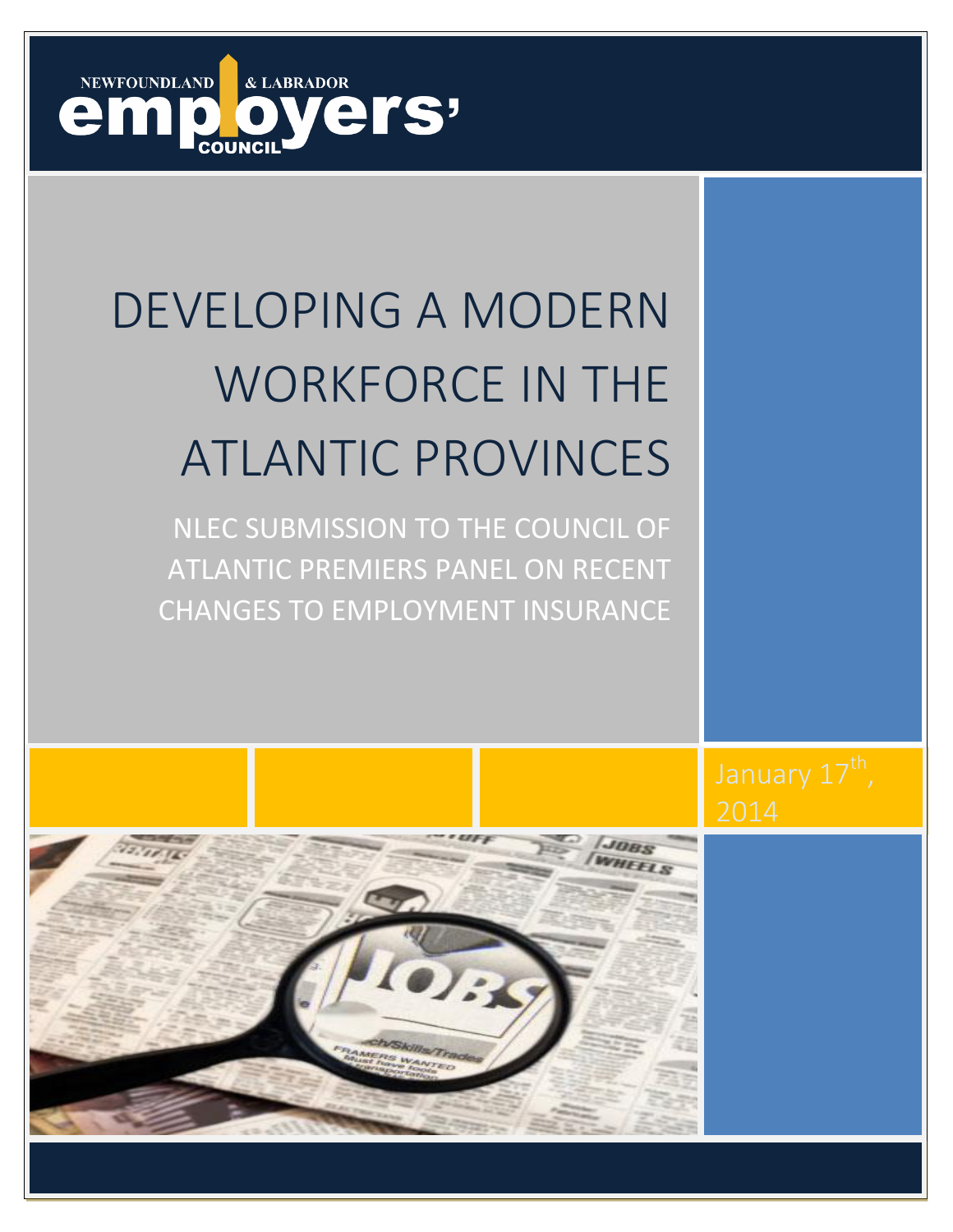

# DEVELOPING A MODERN WORKFORCE IN THE ATLANTIC PROVINCES

NLEC SUBMISSION TO THE COUNCIL OF ATLANTIC PREMIERS PANEL ON RECENT CHANGES TO EMPLOYMENT INSURANCE

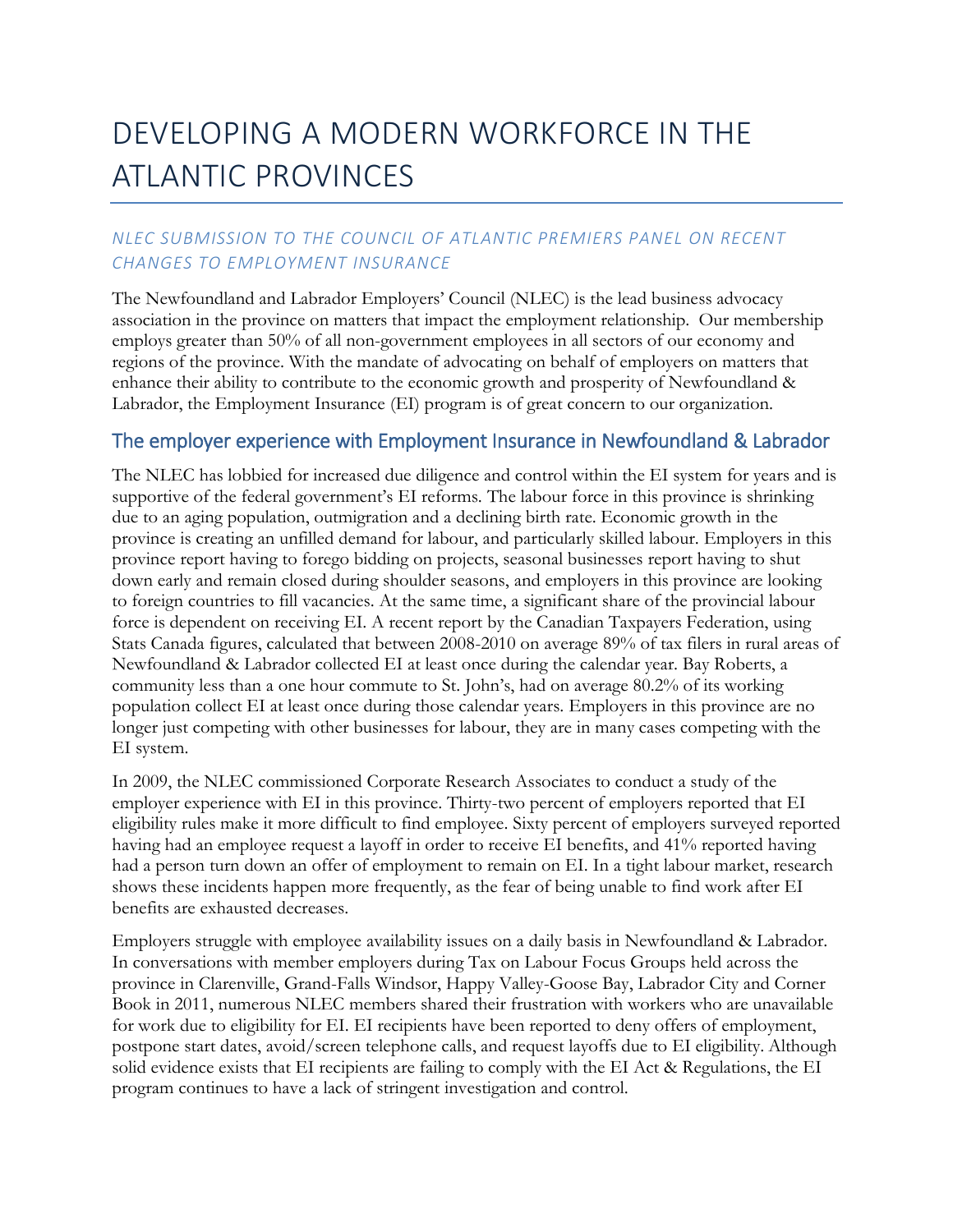## DEVELOPING A MODERN WORKFORCE IN THE ATLANTIC PROVINCES

## *NLEC SUBMISSION TO THE COUNCIL OF ATLANTIC PREMIERS PANEL ON RECENT CHANGES TO EMPLOYMENT INSURANCE*

The Newfoundland and Labrador Employers' Council (NLEC) is the lead business advocacy association in the province on matters that impact the employment relationship. Our membership employs greater than 50% of all non-government employees in all sectors of our economy and regions of the province. With the mandate of advocating on behalf of employers on matters that enhance their ability to contribute to the economic growth and prosperity of Newfoundland & Labrador, the Employment Insurance (EI) program is of great concern to our organization.

## The employer experience with Employment Insurance in Newfoundland & Labrador

The NLEC has lobbied for increased due diligence and control within the EI system for years and is supportive of the federal government's EI reforms. The labour force in this province is shrinking due to an aging population, outmigration and a declining birth rate. Economic growth in the province is creating an unfilled demand for labour, and particularly skilled labour. Employers in this province report having to forego bidding on projects, seasonal businesses report having to shut down early and remain closed during shoulder seasons, and employers in this province are looking to foreign countries to fill vacancies. At the same time, a significant share of the provincial labour force is dependent on receiving EI. A recent report by the Canadian Taxpayers Federation, using Stats Canada figures, calculated that between 2008-2010 on average 89% of tax filers in rural areas of Newfoundland & Labrador collected EI at least once during the calendar year. Bay Roberts, a community less than a one hour commute to St. John's, had on average 80.2% of its working population collect EI at least once during those calendar years. Employers in this province are no longer just competing with other businesses for labour, they are in many cases competing with the EI system.

In 2009, the NLEC commissioned Corporate Research Associates to conduct a study of the employer experience with EI in this province. Thirty-two percent of employers reported that EI eligibility rules make it more difficult to find employee. Sixty percent of employers surveyed reported having had an employee request a layoff in order to receive EI benefits, and 41% reported having had a person turn down an offer of employment to remain on EI. In a tight labour market, research shows these incidents happen more frequently, as the fear of being unable to find work after EI benefits are exhausted decreases.

Employers struggle with employee availability issues on a daily basis in Newfoundland & Labrador. In conversations with member employers during Tax on Labour Focus Groups held across the province in Clarenville, Grand-Falls Windsor, Happy Valley-Goose Bay, Labrador City and Corner Book in 2011, numerous NLEC members shared their frustration with workers who are unavailable for work due to eligibility for EI. EI recipients have been reported to deny offers of employment, postpone start dates, avoid/screen telephone calls, and request layoffs due to EI eligibility. Although solid evidence exists that EI recipients are failing to comply with the EI Act & Regulations, the EI program continues to have a lack of stringent investigation and control.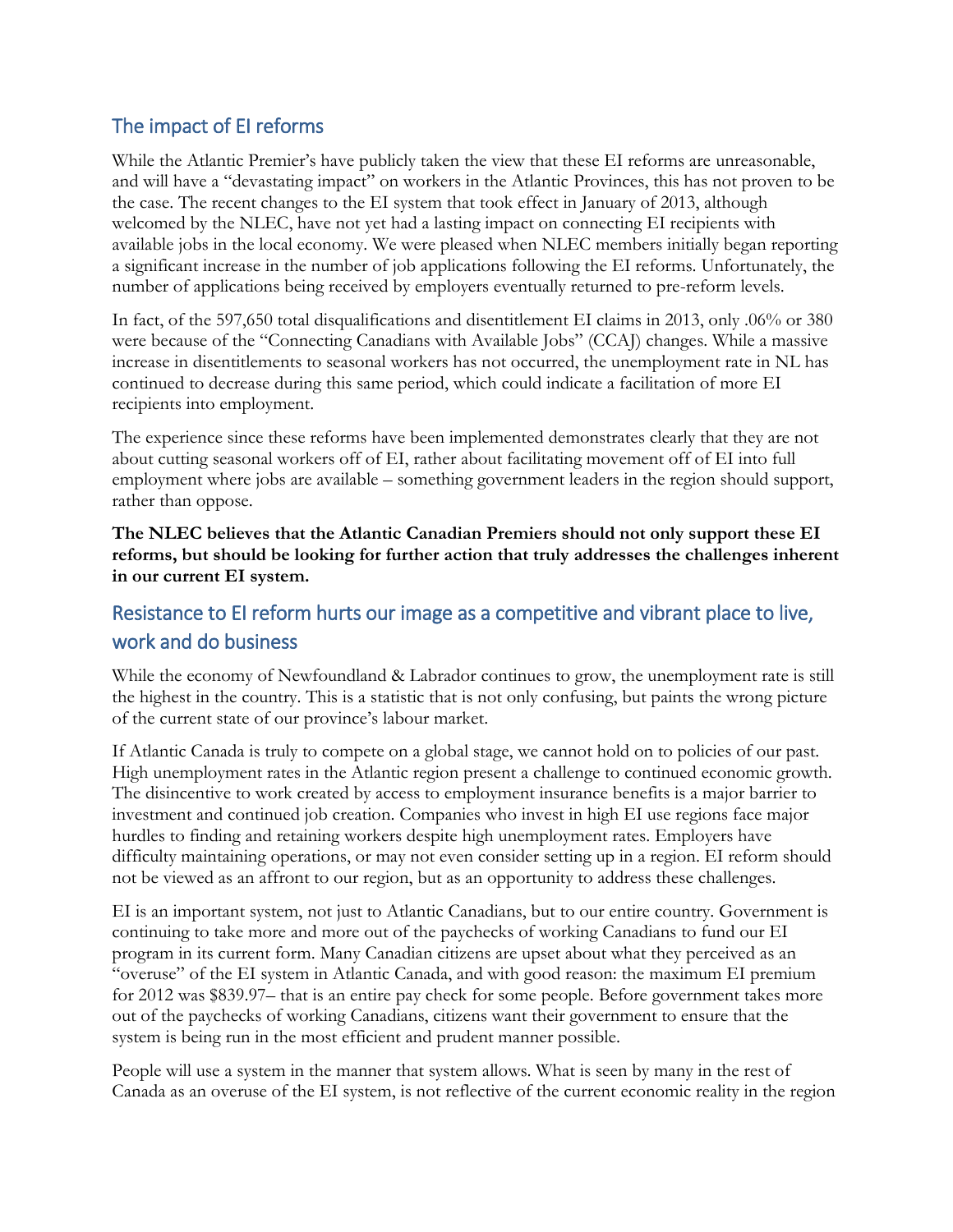## The impact of EI reforms

While the Atlantic Premier's have publicly taken the view that these EI reforms are unreasonable, and will have a "devastating impact" on workers in the Atlantic Provinces, this has not proven to be the case. The recent changes to the EI system that took effect in January of 2013, although welcomed by the NLEC, have not yet had a lasting impact on connecting EI recipients with available jobs in the local economy. We were pleased when NLEC members initially began reporting a significant increase in the number of job applications following the EI reforms. Unfortunately, the number of applications being received by employers eventually returned to pre-reform levels.

In fact, of the 597,650 total disqualifications and disentitlement EI claims in 2013, only .06% or 380 were because of the "Connecting Canadians with Available Jobs" (CCAJ) changes. While a massive increase in disentitlements to seasonal workers has not occurred, the unemployment rate in NL has continued to decrease during this same period, which could indicate a facilitation of more EI recipients into employment.

The experience since these reforms have been implemented demonstrates clearly that they are not about cutting seasonal workers off of EI, rather about facilitating movement off of EI into full employment where jobs are available – something government leaders in the region should support, rather than oppose.

**The NLEC believes that the Atlantic Canadian Premiers should not only support these EI reforms, but should be looking for further action that truly addresses the challenges inherent in our current EI system.**

## Resistance to EI reform hurts our image as a competitive and vibrant place to live, work and do business

While the economy of Newfoundland & Labrador continues to grow, the unemployment rate is still the highest in the country. This is a statistic that is not only confusing, but paints the wrong picture of the current state of our province's labour market.

If Atlantic Canada is truly to compete on a global stage, we cannot hold on to policies of our past. High unemployment rates in the Atlantic region present a challenge to continued economic growth. The disincentive to work created by access to employment insurance benefits is a major barrier to investment and continued job creation. Companies who invest in high EI use regions face major hurdles to finding and retaining workers despite high unemployment rates. Employers have difficulty maintaining operations, or may not even consider setting up in a region. EI reform should not be viewed as an affront to our region, but as an opportunity to address these challenges.

EI is an important system, not just to Atlantic Canadians, but to our entire country. Government is continuing to take more and more out of the paychecks of working Canadians to fund our EI program in its current form. Many Canadian citizens are upset about what they perceived as an "overuse" of the EI system in Atlantic Canada, and with good reason: the maximum EI premium for 2012 was \$839.97– that is an entire pay check for some people. Before government takes more out of the paychecks of working Canadians, citizens want their government to ensure that the system is being run in the most efficient and prudent manner possible.

People will use a system in the manner that system allows. What is seen by many in the rest of Canada as an overuse of the EI system, is not reflective of the current economic reality in the region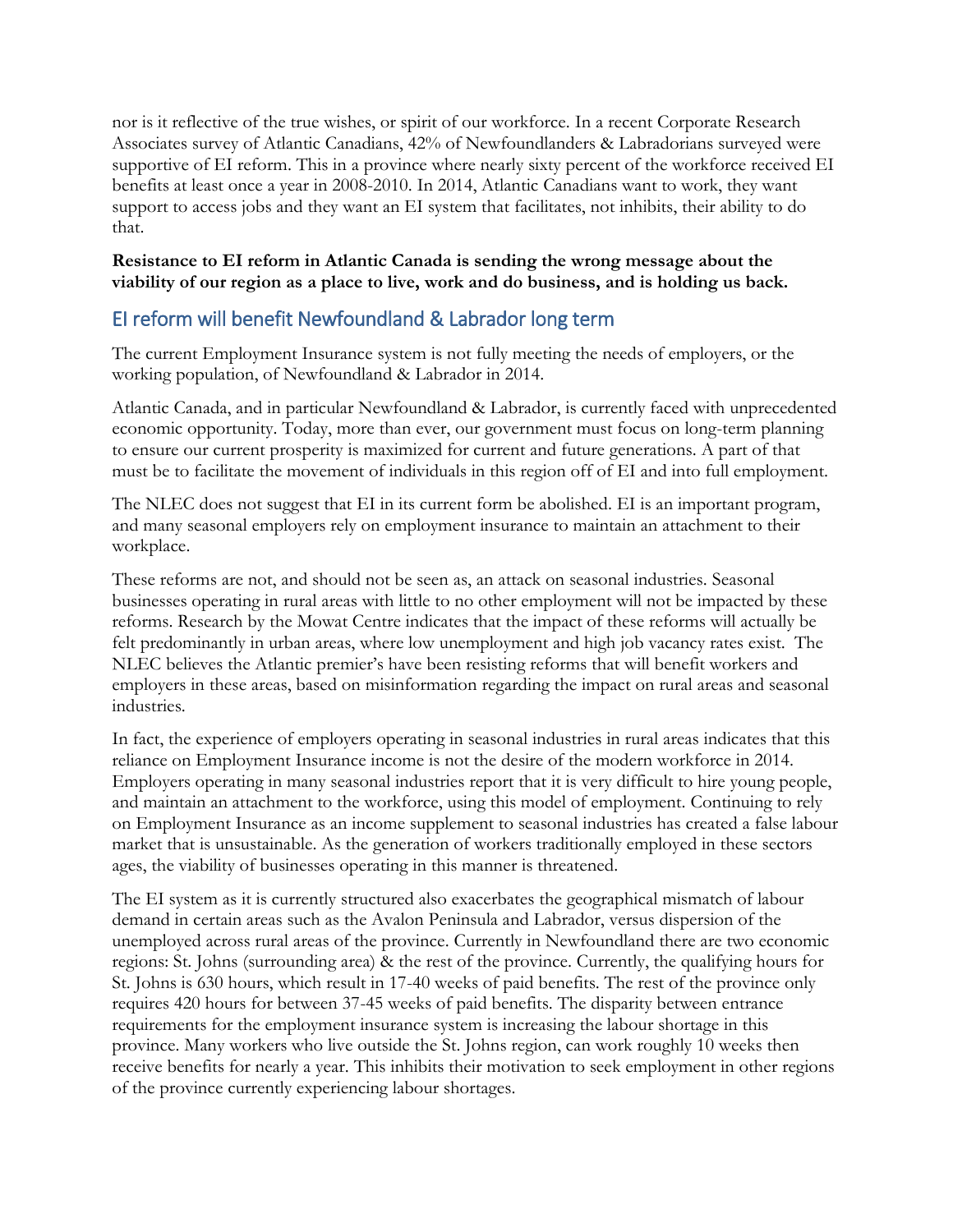nor is it reflective of the true wishes, or spirit of our workforce. In a recent Corporate Research Associates survey of Atlantic Canadians, 42% of Newfoundlanders & Labradorians surveyed were supportive of EI reform. This in a province where nearly sixty percent of the workforce received EI benefits at least once a year in 2008-2010. In 2014, Atlantic Canadians want to work, they want support to access jobs and they want an EI system that facilitates, not inhibits, their ability to do that.

#### **Resistance to EI reform in Atlantic Canada is sending the wrong message about the viability of our region as a place to live, work and do business, and is holding us back.**

## EI reform will benefit Newfoundland & Labrador long term

The current Employment Insurance system is not fully meeting the needs of employers, or the working population, of Newfoundland & Labrador in 2014.

Atlantic Canada, and in particular Newfoundland & Labrador, is currently faced with unprecedented economic opportunity. Today, more than ever, our government must focus on long-term planning to ensure our current prosperity is maximized for current and future generations. A part of that must be to facilitate the movement of individuals in this region off of EI and into full employment.

The NLEC does not suggest that EI in its current form be abolished. EI is an important program, and many seasonal employers rely on employment insurance to maintain an attachment to their workplace.

These reforms are not, and should not be seen as, an attack on seasonal industries. Seasonal businesses operating in rural areas with little to no other employment will not be impacted by these reforms. Research by the Mowat Centre indicates that the impact of these reforms will actually be felt predominantly in urban areas, where low unemployment and high job vacancy rates exist. The NLEC believes the Atlantic premier's have been resisting reforms that will benefit workers and employers in these areas, based on misinformation regarding the impact on rural areas and seasonal industries.

In fact, the experience of employers operating in seasonal industries in rural areas indicates that this reliance on Employment Insurance income is not the desire of the modern workforce in 2014. Employers operating in many seasonal industries report that it is very difficult to hire young people, and maintain an attachment to the workforce, using this model of employment. Continuing to rely on Employment Insurance as an income supplement to seasonal industries has created a false labour market that is unsustainable. As the generation of workers traditionally employed in these sectors ages, the viability of businesses operating in this manner is threatened.

The EI system as it is currently structured also exacerbates the geographical mismatch of labour demand in certain areas such as the Avalon Peninsula and Labrador, versus dispersion of the unemployed across rural areas of the province. Currently in Newfoundland there are two economic regions: St. Johns (surrounding area) & the rest of the province. Currently, the qualifying hours for St. Johns is 630 hours, which result in 17-40 weeks of paid benefits. The rest of the province only requires 420 hours for between 37-45 weeks of paid benefits. The disparity between entrance requirements for the employment insurance system is increasing the labour shortage in this province. Many workers who live outside the St. Johns region, can work roughly 10 weeks then receive benefits for nearly a year. This inhibits their motivation to seek employment in other regions of the province currently experiencing labour shortages.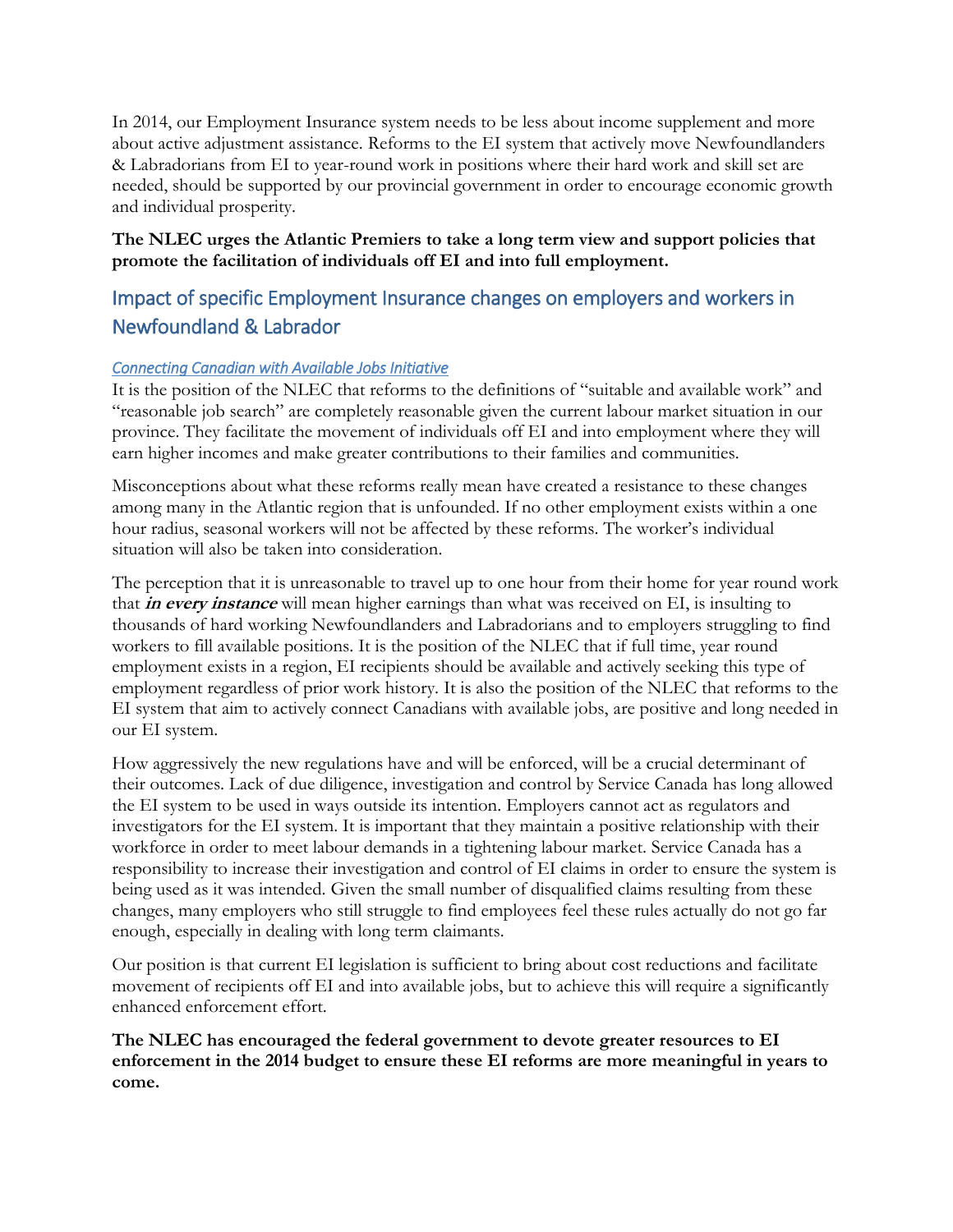In 2014, our Employment Insurance system needs to be less about income supplement and more about active adjustment assistance. Reforms to the EI system that actively move Newfoundlanders & Labradorians from EI to year-round work in positions where their hard work and skill set are needed, should be supported by our provincial government in order to encourage economic growth and individual prosperity.

## **The NLEC urges the Atlantic Premiers to take a long term view and support policies that promote the facilitation of individuals off EI and into full employment.**

## Impact of specific Employment Insurance changes on employers and workers in Newfoundland & Labrador

## *Connecting Canadian with Available Jobs Initiative*

It is the position of the NLEC that reforms to the definitions of "suitable and available work" and "reasonable job search" are completely reasonable given the current labour market situation in our province. They facilitate the movement of individuals off EI and into employment where they will earn higher incomes and make greater contributions to their families and communities.

Misconceptions about what these reforms really mean have created a resistance to these changes among many in the Atlantic region that is unfounded. If no other employment exists within a one hour radius, seasonal workers will not be affected by these reforms. The worker's individual situation will also be taken into consideration.

The perception that it is unreasonable to travel up to one hour from their home for year round work that **in every instance** will mean higher earnings than what was received on EI, is insulting to thousands of hard working Newfoundlanders and Labradorians and to employers struggling to find workers to fill available positions. It is the position of the NLEC that if full time, year round employment exists in a region, EI recipients should be available and actively seeking this type of employment regardless of prior work history. It is also the position of the NLEC that reforms to the EI system that aim to actively connect Canadians with available jobs, are positive and long needed in our EI system.

How aggressively the new regulations have and will be enforced, will be a crucial determinant of their outcomes. Lack of due diligence, investigation and control by Service Canada has long allowed the EI system to be used in ways outside its intention. Employers cannot act as regulators and investigators for the EI system. It is important that they maintain a positive relationship with their workforce in order to meet labour demands in a tightening labour market. Service Canada has a responsibility to increase their investigation and control of EI claims in order to ensure the system is being used as it was intended. Given the small number of disqualified claims resulting from these changes, many employers who still struggle to find employees feel these rules actually do not go far enough, especially in dealing with long term claimants.

Our position is that current EI legislation is sufficient to bring about cost reductions and facilitate movement of recipients off EI and into available jobs, but to achieve this will require a significantly enhanced enforcement effort.

#### **The NLEC has encouraged the federal government to devote greater resources to EI enforcement in the 2014 budget to ensure these EI reforms are more meaningful in years to come.**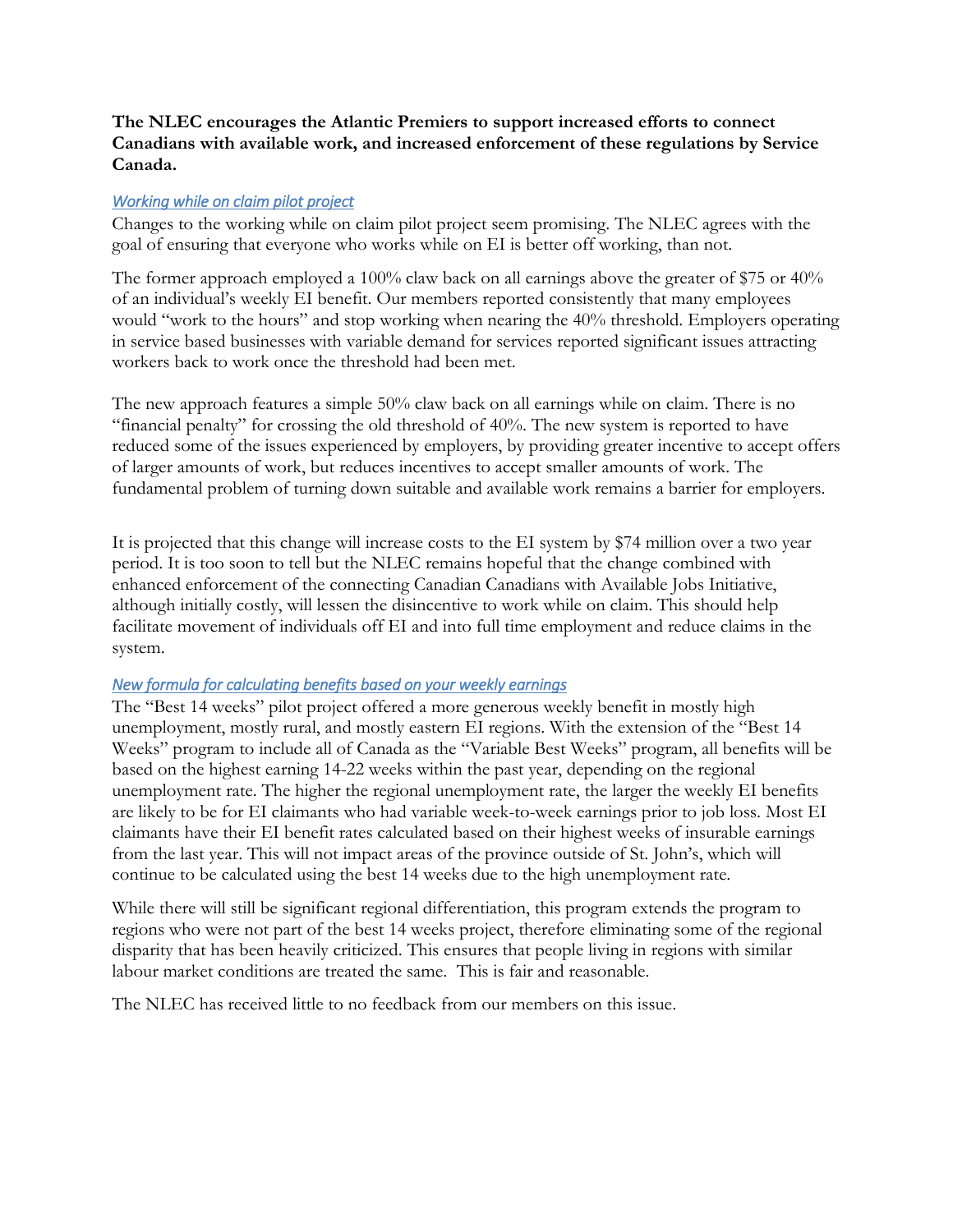## **The NLEC encourages the Atlantic Premiers to support increased efforts to connect Canadians with available work, and increased enforcement of these regulations by Service Canada.**

#### *Working while on claim pilot project*

Changes to the working while on claim pilot project seem promising. The NLEC agrees with the goal of ensuring that everyone who works while on EI is better off working, than not.

The former approach employed a 100% claw back on all earnings above the greater of \$75 or 40% of an individual's weekly EI benefit. Our members reported consistently that many employees would "work to the hours" and stop working when nearing the 40% threshold. Employers operating in service based businesses with variable demand for services reported significant issues attracting workers back to work once the threshold had been met.

The new approach features a simple 50% claw back on all earnings while on claim. There is no "financial penalty" for crossing the old threshold of 40%. The new system is reported to have reduced some of the issues experienced by employers, by providing greater incentive to accept offers of larger amounts of work, but reduces incentives to accept smaller amounts of work. The fundamental problem of turning down suitable and available work remains a barrier for employers.

It is projected that this change will increase costs to the EI system by \$74 million over a two year period. It is too soon to tell but the NLEC remains hopeful that the change combined with enhanced enforcement of the connecting Canadian Canadians with Available Jobs Initiative, although initially costly, will lessen the disincentive to work while on claim. This should help facilitate movement of individuals off EI and into full time employment and reduce claims in the system.

#### *New formula for calculating benefits based on your weekly earnings*

The "Best 14 weeks" pilot project offered a more generous weekly benefit in mostly high unemployment, mostly rural, and mostly eastern EI regions. With the extension of the "Best 14 Weeks" program to include all of Canada as the "Variable Best Weeks" program, all benefits will be based on the highest earning 14-22 weeks within the past year, depending on the regional unemployment rate. The higher the regional unemployment rate, the larger the weekly EI benefits are likely to be for EI claimants who had variable week-to-week earnings prior to job loss. Most EI claimants have their EI benefit rates calculated based on their highest weeks of insurable earnings from the last year. This will not impact areas of the province outside of St. John's, which will continue to be calculated using the best 14 weeks due to the high unemployment rate.

While there will still be significant regional differentiation, this program extends the program to regions who were not part of the best 14 weeks project, therefore eliminating some of the regional disparity that has been heavily criticized. This ensures that people living in regions with similar labour market conditions are treated the same. This is fair and reasonable.

The NLEC has received little to no feedback from our members on this issue.